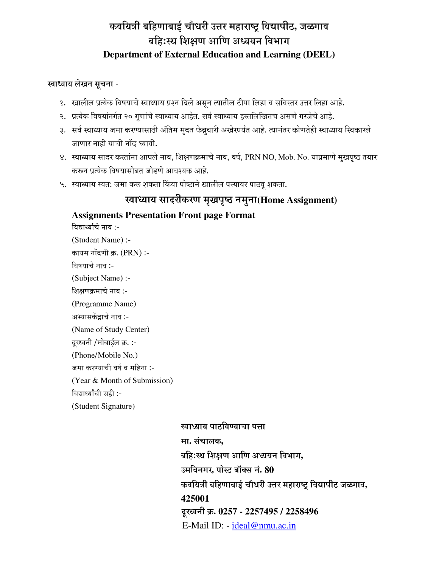# कवयित्री बहिणाबाई चौधरी उत्तर महाराष्ट्र विद्यापीठ, जळगाव बहि:स्थ शिक्षण आणि अध्ययन विभाग **Department of External Education and Learning (DEEL)**

### खाध्याय लेखन सूचना -

- <u>१. खालील प्रत्येक विषयाचे स्वाध्याय प्रश्न दिले असून त्यातील टीपा लिहा व सविस्तर उत्तर लिहा आहे.</u>
- २. प्रत्येक विषयांतर्गत २० गुणांचे स्वाध्याय आहेत. सर्व स्वाध्याय हस्तलिखितच असणे गरजेचे आहे.
- 3. सर्व स्वाध्याय जमा करण्यासाठी अंतिम मुदत फेब्रुवारी अखेरपर्यंत आहे. त्यानंतर कोणतेही स्वाध्याय स्विकारले जाणार नाही याची नोंद घ्यावी.
- 8. स्वाध्याय सादर करतांना आपले नाव, शिक्षणक्रमाचे नाव, वर्ष, PRN NO, Mob. No. याप्रमाणे मुखपृष्ठ तयार करून प्रत्येक विषयासोबत जोडणे आवश्यक आहे.
- ५. स्वाध्याय स्वत: जमा करू शकता किंवा पोष्टाने खालील पत्त्यावर पाठवू शकता.

# खाध्याय सादरीकरण मृखपृष्ठ नमुना(Home Assignment)

## **Assignments Presentation Front page Format**

विद्यार्थ्याचे नाव :-

(Student Name) :- कायम नोंदणी क्र. (PRN) :-विषयाचे नाव :-(Subject Name) :- शिक्षणक्रमाचे नाव :-(Programme Name) अभ्यासकेंद्राचे नाव :-(Name of Study Center) दूरध्वनी /मोबाईल क्र. :-(Phone/Mobile No.) जमा करण्याची वर्ष व महिना :-(Year & Month of Submission)

विद्यार्थ्यांची सही :-

(Student Signature)

खाध्याय पाठविण्याचा पत्ता **मा.** संचालक. बहि:स्थ शिक्षण आणि अध्ययन विभाग, उमविनगर, पोस्ट बॉक्स नं. 80 <u>कवयित्री बहिणाबाई चौधरी उत्तर महाराष्ट विद्यापीठ जळगाव,</u> **425001** दूरध्वनी क्र. 0257 - 2257495 / 2258496 E-Mail ID: - ideal@nmu.ac.in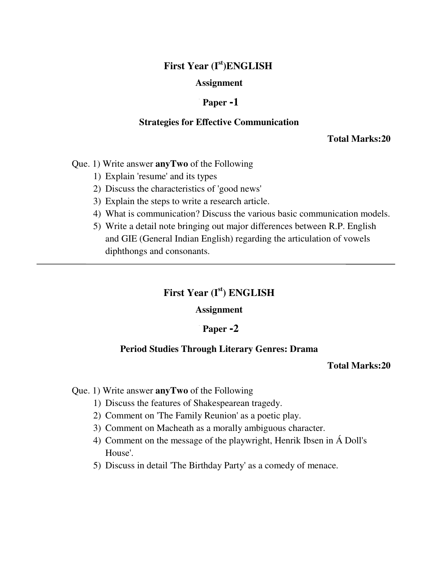# **First Year (Ist)ENGLISH**

### **Assignment**

#### **ü Paper -1**

#### **Strategies for Effective Communication**

**Total Marks:20**

Que. 1) Write answer **anyTwo** of the Following

1) Explain 'resume' and its types

- 2) Discuss the characteristics of 'good news'
- 3) Explain the steps to write a research article.
- 4) What is communication? Discuss the various basic communication models.
- 5) Write a detail note bringing out major differences between R.P. English and GIE (General Indian English) regarding the articulation of vowels diphthongs and consonants.

# **First Year (Ist) ENGLISH**

#### **Assignment**

#### **ü Paper -2**

#### **Period Studies Through Literary Genres: Drama**

#### **Total Marks:20**

#### Que. 1) Write answer **anyTwo** of the Following

- 1) Discuss the features of Shakespearean tragedy.
- 2) Comment on 'The Family Reunion' as a poetic play.
- 3) Comment on Macheath as a morally ambiguous character.
- 4) Comment on the message of the playwright, Henrik Ibsen in Á Doll's House'.
- 5) Discuss in detail 'The Birthday Party' as a comedy of menace.